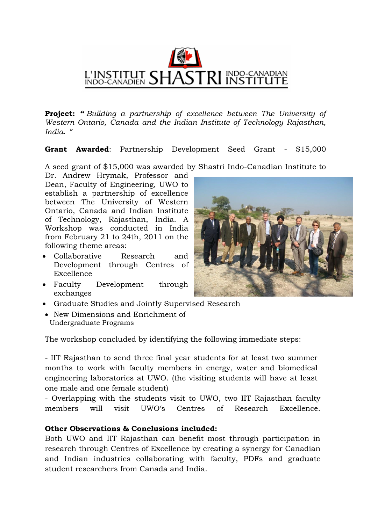

**Project:** *" Building a partnership of excellence between The University of Western Ontario, Canada and the Indian Institute of Technology Rajasthan, India. "*

**Grant Awarded**: Partnership Development Seed Grant - \$15,000

A seed grant of \$15,000 was awarded by Shastri Indo-Canadian Institute to

Dr. Andrew Hrymak, Professor and Dean, Faculty of Engineering, UWO to establish a partnership of excellence between The University of Western Ontario, Canada and Indian Institute of Technology, Rajasthan, India. A Workshop was conducted in India from February 21 to 24th, 2011 on the following theme areas:

- Collaborative Research and Development through Centres of Excellence
- Faculty Development through exchanges
- Graduate Studies and Jointly Supervised Research
- New Dimensions and Enrichment of Undergraduate Programs

The workshop concluded by identifying the following immediate steps:

- IIT Rajasthan to send three final year students for at least two summer months to work with faculty members in energy, water and biomedical engineering laboratories at UWO. (the visiting students will have at least one male and one female student)

- Overlapping with the students visit to UWO, two IIT Rajasthan faculty members will visit UWO's Centres of Research Excellence.

## **Other Observations & Conclusions included:**

Both UWO and IIT Rajasthan can benefit most through participation in research through Centres of Excellence by creating a synergy for Canadian and Indian industries collaborating with faculty, PDFs and graduate student researchers from Canada and India.